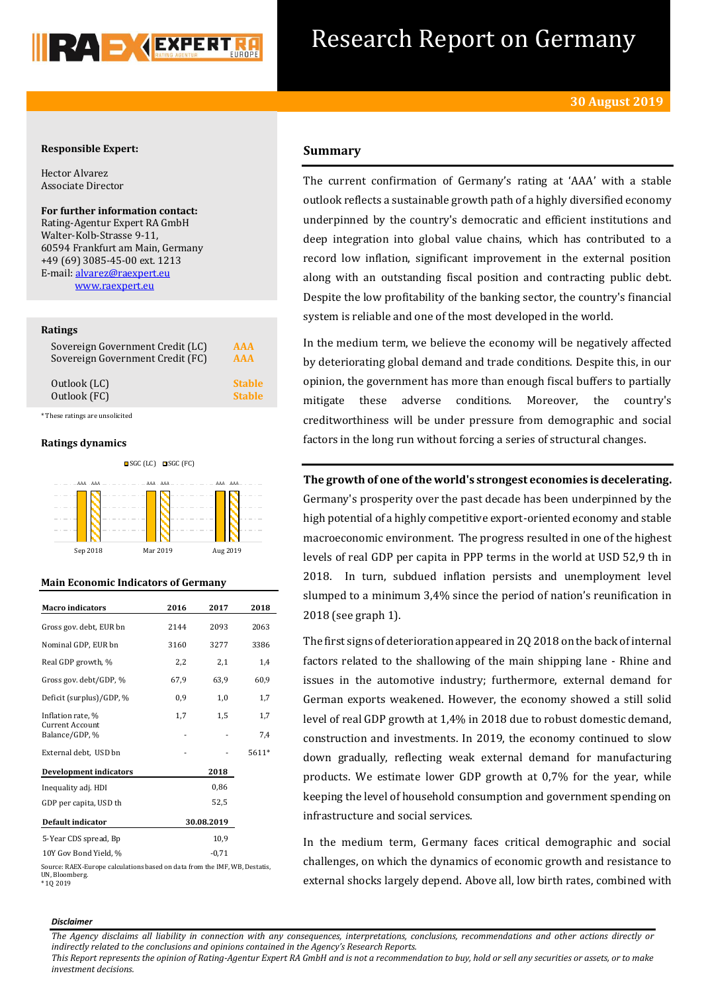

# Research Report on Germany

# **Responsible Expert:**

Hector Alvarez Associate Director

**For further information contact:** Rating-Agentur Expert RA GmbH Walter-Kolb-Strasse 9-11, 60594 Frankfurt am Main, Germany +49 (69) 3085-45-00 ext. 1213 E-mail: [alvarez@raexpert.eu](mailto:alvarez@raexpert.eu) [www.raexpert.eu](http://raexpert.eu/)

#### **Ratings**

| Sovereign Government Credit (LC) | AAA           |
|----------------------------------|---------------|
| Sovereign Government Credit (FC) | <b>AAA</b>    |
| Outlook (LC)                     | <b>Stable</b> |
| Outlook (FC)                     | <b>Stable</b> |

\* These ratings are unsolicited

# **Ratings dynamics**



#### **Main Economic Indicators of Germany**

| <b>Macro</b> indicators                  | 2016       | 2017    | 2018  |
|------------------------------------------|------------|---------|-------|
| Gross gov. debt, EUR bn                  | 2144       | 2093    | 2063  |
| Nominal GDP, EUR bn                      | 3160       | 3277    | 3386  |
| Real GDP growth, %                       | 2,2        | 2,1     | 1,4   |
| Gross gov. debt/GDP, %                   | 67,9       | 63,9    | 60,9  |
| Deficit (surplus)/GDP, %                 | 0,9        | 1,0     | 1,7   |
| Inflation rate, %                        | 1,7        | 1,5     | 1,7   |
| <b>Current Account</b><br>Balance/GDP, % |            |         | 7,4   |
| External debt, USD bn                    |            |         | 5611* |
| <b>Development indicators</b>            |            | 2018    |       |
| Inequality adj. HDI                      |            | 0,86    |       |
| GDP per capita, USD th                   |            | 52,5    |       |
| Default indicator                        | 30.08.2019 |         |       |
| 5-Year CDS spread, Bp                    |            | 10,9    |       |
| 10Y Gov Bond Yield, %                    |            | $-0.71$ |       |

Source: RAEX-Europe calculations based on data from the IMF, WB, Destatis, UN, Bloomberg. \* 1Q 2019

# **Summary**

The current confirmation of Germany's rating at 'AAA' with a stable outlook reflects a sustainable growth path of a highly diversified economy underpinned by the country's democratic and efficient institutions and deep integration into global value chains, which has contributed to a record low inflation, significant improvement in the external position along with an outstanding fiscal position and contracting public debt. Despite the low profitability of the banking sector, the country's financial system is reliable and one of the most developed in the world.

In the medium term, we believe the economy will be negatively affected by deteriorating global demand and trade conditions. Despite this, in our opinion, the government has more than enough fiscal buffers to partially mitigate these adverse conditions. Moreover, the country's creditworthiness will be under pressure from demographic and social factors in the long run without forcing a series of structural changes.

**The growth of one of the world's strongest economies is decelerating.**

Germany's prosperity over the past decade has been underpinned by the high potential of a highly competitive export-oriented economy and stable macroeconomic environment. The progress resulted in one of the highest levels of real GDP per capita in PPP terms in the world at USD 52,9 th in 2018. In turn, subdued inflation persists and unemployment level slumped to a minimum 3,4% since the period of nation's reunification in 2018 (see graph 1).

The first signs of deterioration appeared in 2Q 2018 on the back of internal factors related to the shallowing of the main shipping lane - Rhine and issues in the automotive industry; furthermore, external demand for German exports weakened. However, the economy showed a still solid level of real GDP growth at 1,4% in 2018 due to robust domestic demand, construction and investments. In 2019, the economy continued to slow down gradually, reflecting weak external demand for manufacturing products. We estimate lower GDP growth at 0,7% for the year, while keeping the level of household consumption and government spending on infrastructure and social services.

In the medium term, Germany faces critical demographic and social challenges, on which the dynamics of economic growth and resistance to external shocks largely depend. Above all, low birth rates, combined with

#### *Disclaimer*

*The Agency disclaims all liability in connection with any consequences, interpretations, conclusions, recommendations and other actions directly or indirectly related to the conclusions and opinions contained in the Agency's Research Reports.*

*This Report represents the opinion of Rating-Agentur Expert RA GmbH and is not a recommendation to buy, hold or sell any securities or assets, or to make investment decisions.*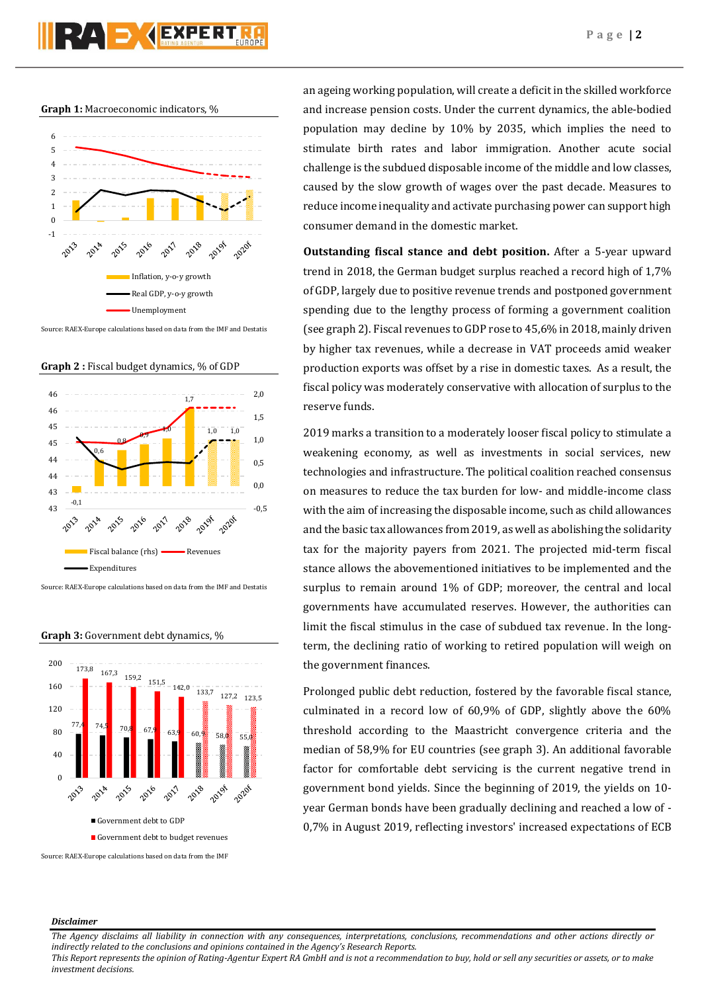**Graph 1:** Macroeconomic indicators, %



Source: RAEX-Europe calculations based on data from the IMF and Destatis

**Graph 2 :** Fiscal budget dynamics, % of GDP



Source: RAEX-Europe calculations based on data from the IMF and Destatis

**Graph 3:** Government debt dynamics, %



an ageing working population, will create a deficit in the skilled workforce and increase pension costs. Under the current dynamics, the able-bodied population may decline by 10% by 2035, which implies the need to stimulate birth rates and labor immigration. Another acute social challenge is the subdued disposable income of the middle and low classes, caused by the slow growth of wages over the past decade. Measures to reduce income inequality and activate purchasing power can support high consumer demand in the domestic market.

**Outstanding fiscal stance and debt position.** After a 5-year upward trend in 2018, the German budget surplus reached a record high of 1,7% of GDP, largely due to positive revenue trends and postponed government spending due to the lengthy process of forming a government coalition (see graph 2). Fiscal revenues to GDP rose to 45,6% in 2018, mainly driven by higher tax revenues, while a decrease in VAT proceeds amid weaker production exports was offset by a rise in domestic taxes. As a result, the fiscal policy was moderately conservative with allocation of surplus to the reserve funds.

2019 marks a transition to a moderately looser fiscal policy to stimulate a weakening economy, as well as investments in social services, new technologies and infrastructure. The political coalition reached consensus on measures to reduce the tax burden for low- and middle-income class with the aim of increasing the disposable income, such as child allowances and the basic tax allowances from 2019, as well as abolishing the solidarity tax for the majority payers from 2021. The projected mid-term fiscal stance allows the abovementioned initiatives to be implemented and the surplus to remain around 1% of GDP; moreover, the central and local governments have accumulated reserves. However, the authorities can limit the fiscal stimulus in the case of subdued tax revenue. In the longterm, the declining ratio of working to retired population will weigh on the government finances.

Prolonged public debt reduction, fostered by the favorable fiscal stance, culminated in a record low of 60,9% of GDP, slightly above the 60% threshold according to the Maastricht convergence criteria and the median of 58,9% for EU countries (see graph 3). An additional favorable factor for comfortable debt servicing is the current negative trend in government bond yields. Since the beginning of 2019, the yields on 10 year German bonds have been gradually declining and reached a low of - 0,7% in August 2019, reflecting investors' increased expectations of ECB

# *Disclaimer*

*The Agency disclaims all liability in connection with any consequences, interpretations, conclusions, recommendations and other actions directly or indirectly related to the conclusions and opinions contained in the Agency's Research Reports.*

*This Report represents the opinion of Rating-Agentur Expert RA GmbH and is not a recommendation to buy, hold or sell any securities or assets, or to make investment decisions.*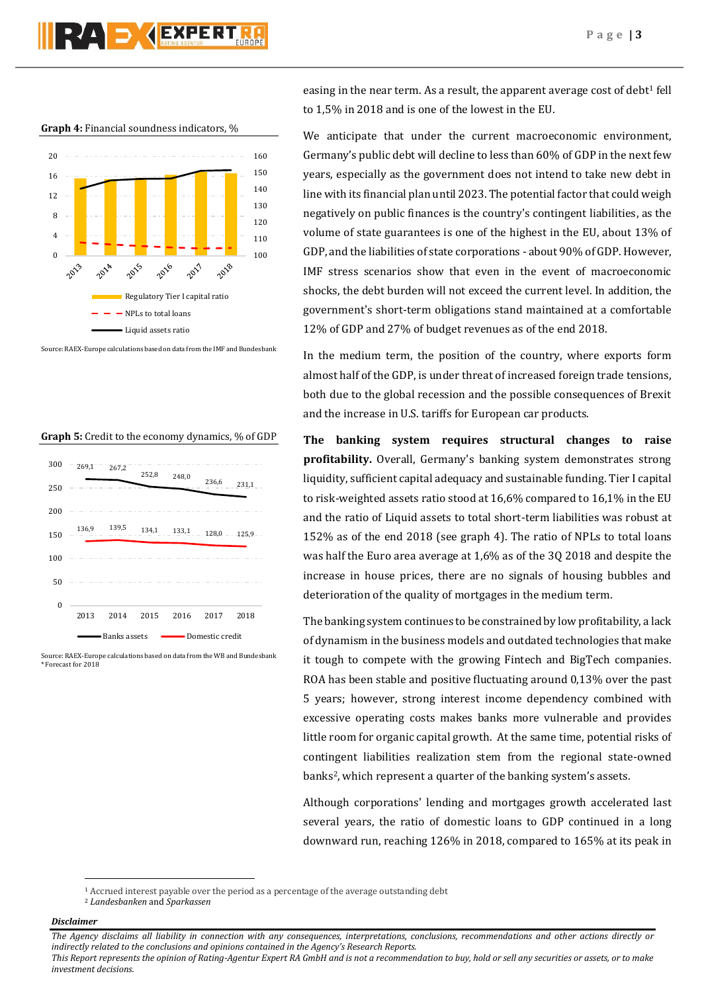# **RAD GEXPERT**

#### **Graph 4:** Financial soundness indicators, %



Source: RAEX-Europe calculations based on data from the IMF and Bundesbank

#### **Graph 5:** Credit to the economy dynamics, % of GDP



Source: RAEX-Europe calculations based on data from the WB and Bundesbank \* Forecast for 2018

easing in the near term. As a result, the apparent average cost of debt<sup>1</sup> fell to 1,5% in 2018 and is one of the lowest in the EU.

We anticipate that under the current macroeconomic environment, Germany's public debt will decline to less than 60% of GDP in the next few years, especially as the government does not intend to take new debt in line with its financial plan until 2023. The potential factor that could weigh negatively on public finances is the country's contingent liabilities, as the volume of state guarantees is one of the highest in the EU, about 13% of GDP, and the liabilities of state corporations - about 90% of GDP. However, IMF stress scenarios show that even in the event of macroeconomic shocks, the debt burden will not exceed the current level. In addition, the government's short-term obligations stand maintained at a comfortable 12% of GDP and 27% of budget revenues as of the end 2018.

In the medium term, the position of the country, where exports form almost half of the GDP, is under threat of increased foreign trade tensions, both due to the global recession and the possible consequences of Brexit and the increase in U.S. tariffs for European car products.

**The banking system requires structural changes to raise profitability.** Overall, Germany's banking system demonstrates strong liquidity, sufficient capital adequacy and sustainable funding. Tier I capital to risk-weighted assets ratio stood at 16,6% compared to 16,1% in the EU and the ratio of Liquid assets to total short-term liabilities was robust at 152% as of the end 2018 (see graph 4). The ratio of NPLs to total loans was half the Euro area average at 1,6% as of the 3Q 2018 and despite the increase in house prices, there are no signals of housing bubbles and deterioration of the quality of mortgages in the medium term.

The banking system continues to be constrained by low profitability, a lack of dynamism in the business models and outdated technologies that make it tough to compete with the growing Fintech and BigTech companies. ROA has been stable and positive fluctuating around 0,13% over the past 5 years; however, strong interest income dependency combined with excessive operating costs makes banks more vulnerable and provides little room for organic capital growth. At the same time, potential risks of contingent liabilities realization stem from the regional state-owned banks <sup>2</sup>, which represent a quarter of the banking system's assets.

Although corporations' lending and mortgages growth accelerated last several years, the ratio of domestic loans to GDP continued in a long downward run, reaching 126% in 2018, compared to 165% at its peak in

# *Disclaimer*

 $\overline{\phantom{a}}$ 

*The Agency disclaims all liability in connection with any consequences, interpretations, conclusions, recommendations and other actions directly or indirectly related to the conclusions and opinions contained in the Agency's Research Reports.*

*This Report represents the opinion of Rating-Agentur Expert RA GmbH and is not a recommendation to buy, hold or sell any securities or assets, or to make investment decisions.*

<sup>1</sup> Accrued interest payable over the period as a percentage of the average outstanding debt

<sup>2</sup> *Landesbanken* and *Sparkassen*